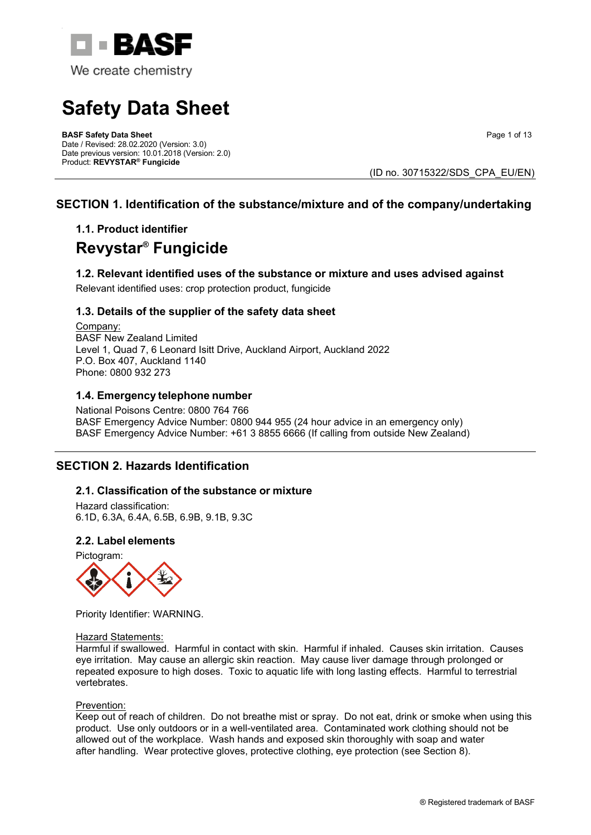

# **Safety Data Sheet**

**BASF Safety Data Sheet**  Date / Revised: 28.02.2020 (Version: 3.0) Date previous version: 10.01.2018 (Version: 2.0) Product: **REVYSTAR® Fungicide**

Page 1 of 13

(ID no. 30715322/SDS\_CPA\_EU/EN)

# **SECTION 1. Identification of the substance/mixture and of the company/undertaking**

# **1.1. Product identifier Revystar® Fungicide**

## **1.2. Relevant identified uses of the substance or mixture and uses advised against** Relevant identified uses: crop protection product, fungicide

## **1.3. Details of the supplier of the safety data sheet**

Company: BASF New Zealand Limited Level 1, Quad 7, 6 Leonard Isitt Drive, Auckland Airport, Auckland 2022 P.O. Box 407, Auckland 1140 Phone: 0800 932 273

## **1.4. Emergency telephone number**

National Poisons Centre: 0800 764 766 BASF Emergency Advice Number: 0800 944 955 (24 hour advice in an emergency only) BASF Emergency Advice Number: +61 3 8855 6666 (If calling from outside New Zealand)

# **SECTION 2. Hazards Identification**

## **2.1. Classification of the substance or mixture**

Hazard classification: 6.1D, 6.3A, 6.4A, 6.5B, 6.9B, 9.1B, 9.3C

## **2.2. Label elements**

Pictogram:



Priority Identifier: WARNING.

#### Hazard Statements:

Harmful if swallowed. Harmful in contact with skin. Harmful if inhaled. Causes skin irritation. Causes eye irritation. May cause an allergic skin reaction. May cause liver damage through prolonged or repeated exposure to high doses. Toxic to aquatic life with long lasting effects. Harmful to terrestrial vertebrates.

#### Prevention:

Keep out of reach of children. Do not breathe mist or spray. Do not eat, drink or smoke when using this product. Use only outdoors or in a well-ventilated area. Contaminated work clothing should not be allowed out of the workplace. Wash hands and exposed skin thoroughly with soap and water after handling. Wear protective gloves, protective clothing, eye protection (see Section 8).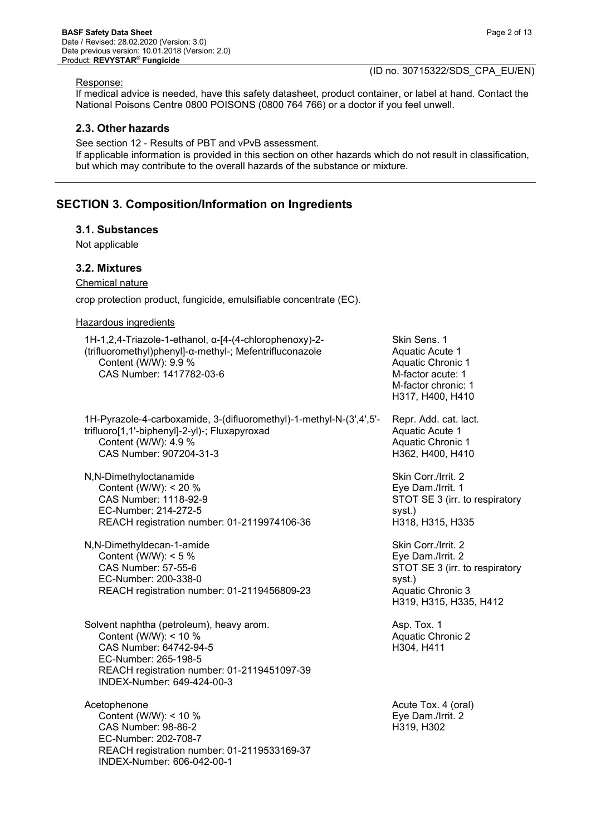Response:

If medical advice is needed, have this safety datasheet, product container, or label at hand. Contact the National Poisons Centre 0800 POISONS (0800 764 766) or a doctor if you feel unwell.

#### **2.3. Other hazards**

See section 12 - Results of PBT and vPvB assessment. If applicable information is provided in this section on other hazards which do not result in classification, but which may contribute to the overall hazards of the substance or mixture.

## **SECTION 3. Composition/Information on Ingredients**

#### **3.1. Substances**

Not applicable

#### **3.2. Mixtures**

Chemical nature

crop protection product, fungicide, emulsifiable concentrate (EC).

#### Hazardous ingredients

1H-1,2,4-Triazole-1-ethanol, α-[4-(4-chlorophenoxy)-2- (trifluoromethyl)phenyl]-α-methyl-; Mefentrifluconazole Content (W/W): 9.9 % CAS Number: 1417782-03-6

1H-Pyrazole-4-carboxamide, 3-(difluoromethyl)-1-methyl-N-(3',4',5' trifluoro[1,1'-biphenyl]-2-yl)-; Fluxapyroxad Content (W/W): 4.9 % CAS Number: 907204-31-3

N,N-Dimethyloctanamide Content (W/W): < 20 % CAS Number: 1118-92-9 EC-Number: 214-272-5 REACH registration number: 01-2119974106-36

N,N-Dimethyldecan-1-amide Content (W/W): < 5 % CAS Number: 57-55-6 EC-Number: 200-338-0 REACH registration number: 01-2119456809-23

Solvent naphtha (petroleum), heavy arom. Content (W/W): < 10 % CAS Number: 64742-94-5 EC-Number: 265-198-5 REACH registration number: 01-2119451097-39 INDEX-Number: 649-424-00-3

Acetophenone Content (W/W): < 10 % CAS Number: 98-86-2 EC-Number: 202-708-7 REACH registration number: 01-2119533169-37 INDEX-Number: 606-042-00-1

Skin Sens. 1 Aquatic Acute 1 Aquatic Chronic 1 M-factor acute: 1 M-factor chronic: 1 H317, H400, H410

Repr. Add. cat. lact. Aquatic Acute 1 Aquatic Chronic 1 H362, H400, H410

Skin Corr./Irrit. 2 Eye Dam./Irrit. 1 STOT SE 3 (irr. to respiratory syst.) H318, H315, H335

Skin Corr./Irrit. 2 Eye Dam./Irrit. 2 STOT SE 3 (irr. to respiratory syst.) Aquatic Chronic 3 H319, H315, H335, H412

Asp. Tox. 1 Aquatic Chronic 2 H304, H411

Acute Tox. 4 (oral) Eye Dam./Irrit. 2 H319, H302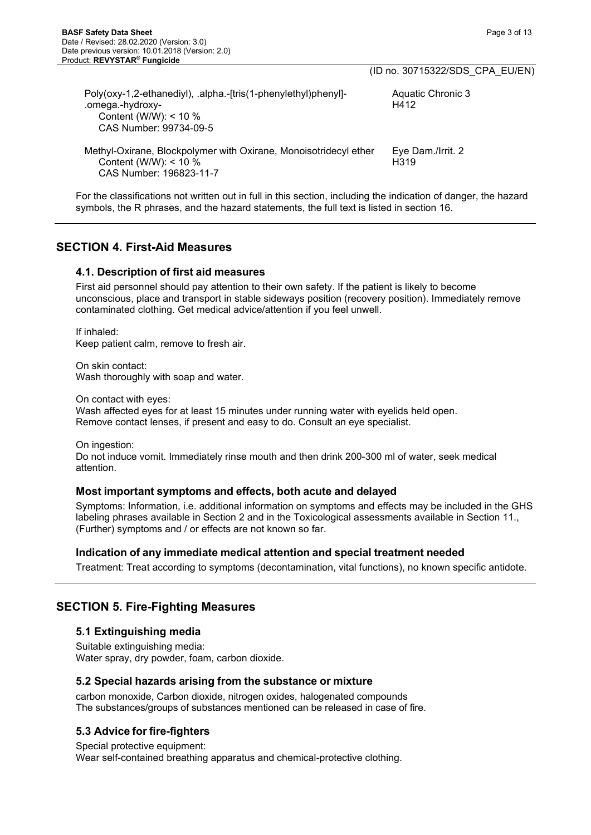|                                                                                                                                         | (ID no. 30715322/SDS CPA EU/EN)       |
|-----------------------------------------------------------------------------------------------------------------------------------------|---------------------------------------|
| Poly(oxy-1,2-ethanediyl), .alpha.-[tris(1-phenylethyl)phenyl]-<br>.omega.-hydroxy-<br>Content (W/W): $<$ 10 %<br>CAS Number: 99734-09-5 | Aquatic Chronic 3<br>H412             |
| Methyl-Oxirane, Blockpolymer with Oxirane, Monoisotridecyl ether<br>Content (W/W): $<$ 10 %<br>CAS Number: 196823-11-7                  | Eye Dam./Irrit. 2<br>H <sub>319</sub> |

For the classifications not written out in full in this section, including the indication of danger, the hazard symbols, the R phrases, and the hazard statements, the full text is listed in section 16.

# **SECTION 4. First-Aid Measures**

## **4.1. Description of first aid measures**

First aid personnel should pay attention to their own safety. If the patient is likely to become unconscious, place and transport in stable sideways position (recovery position). Immediately remove contaminated clothing. Get medical advice/attention if you feel unwell.

If inhaled: Keep patient calm, remove to fresh air.

On skin contact: Wash thoroughly with soap and water.

On contact with eyes: Wash affected eyes for at least 15 minutes under running water with eyelids held open. Remove contact lenses, if present and easy to do. Consult an eye specialist.

On ingestion: Do not induce vomit. Immediately rinse mouth and then drink 200-300 ml of water, seek medical attention.

## **Most important symptoms and effects, both acute and delayed**

Symptoms: Information, i.e. additional information on symptoms and effects may be included in the GHS labeling phrases available in Section 2 and in the Toxicological assessments available in Section 11., (Further) symptoms and / or effects are not known so far.

## **Indication of any immediate medical attention and special treatment needed**

Treatment: Treat according to symptoms (decontamination, vital functions), no known specific antidote.

# **SECTION 5. Fire-Fighting Measures**

## **5.1 Extinguishing media**

Suitable extinguishing media: Water spray, dry powder, foam, carbon dioxide.

## **5.2 Special hazards arising from the substance or mixture**

carbon monoxide, Carbon dioxide, nitrogen oxides, halogenated compounds The substances/groups of substances mentioned can be released in case of fire.

# **5.3 Advice for fire-fighters**

Special protective equipment: Wear self-contained breathing apparatus and chemical-protective clothing.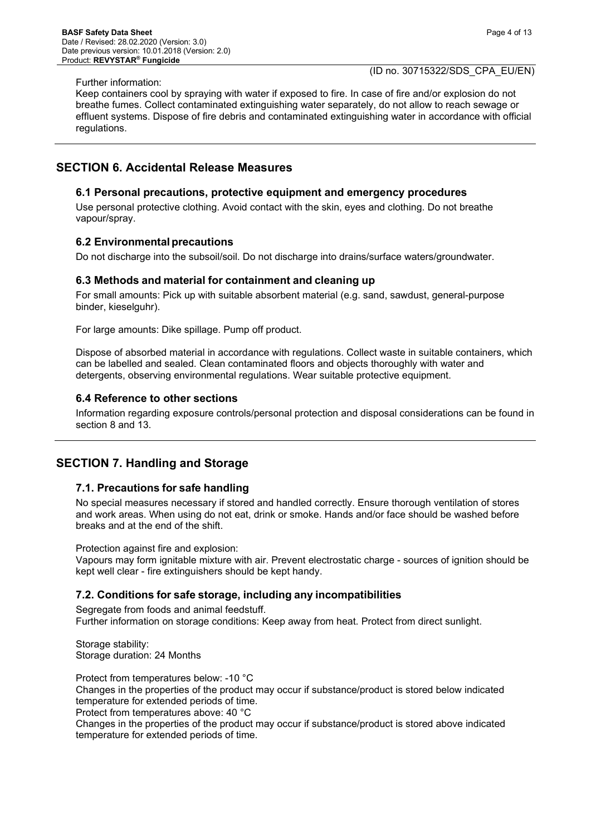#### Further information:

(ID no. 30715322/SDS\_CPA\_EU/EN)

Keep containers cool by spraying with water if exposed to fire. In case of fire and/or explosion do not breathe fumes. Collect contaminated extinguishing water separately, do not allow to reach sewage or effluent systems. Dispose of fire debris and contaminated extinguishing water in accordance with official regulations.

## **SECTION 6. Accidental Release Measures**

#### **6.1 Personal precautions, protective equipment and emergency procedures**

Use personal protective clothing. Avoid contact with the skin, eyes and clothing. Do not breathe vapour/spray.

#### **6.2 Environmentalprecautions**

Do not discharge into the subsoil/soil. Do not discharge into drains/surface waters/groundwater.

#### **6.3 Methods and material for containment and cleaning up**

For small amounts: Pick up with suitable absorbent material (e.g. sand, sawdust, general-purpose binder, kieselguhr).

For large amounts: Dike spillage. Pump off product.

Dispose of absorbed material in accordance with regulations. Collect waste in suitable containers, which can be labelled and sealed. Clean contaminated floors and objects thoroughly with water and detergents, observing environmental regulations. Wear suitable protective equipment.

#### **6.4 Reference to other sections**

Information regarding exposure controls/personal protection and disposal considerations can be found in section 8 and 13.

# **SECTION 7. Handling and Storage**

#### **7.1. Precautions for safe handling**

No special measures necessary if stored and handled correctly. Ensure thorough ventilation of stores and work areas. When using do not eat, drink or smoke. Hands and/or face should be washed before breaks and at the end of the shift.

Protection against fire and explosion:

Vapours may form ignitable mixture with air. Prevent electrostatic charge - sources of ignition should be kept well clear - fire extinguishers should be kept handy.

#### **7.2. Conditions for safe storage, including any incompatibilities**

Segregate from foods and animal feedstuff. Further information on storage conditions: Keep away from heat. Protect from direct sunlight.

Storage stability: Storage duration: 24 Months

Protect from temperatures below: -10 °C

Changes in the properties of the product may occur if substance/product is stored below indicated temperature for extended periods of time.

Protect from temperatures above: 40 °C

Changes in the properties of the product may occur if substance/product is stored above indicated temperature for extended periods of time.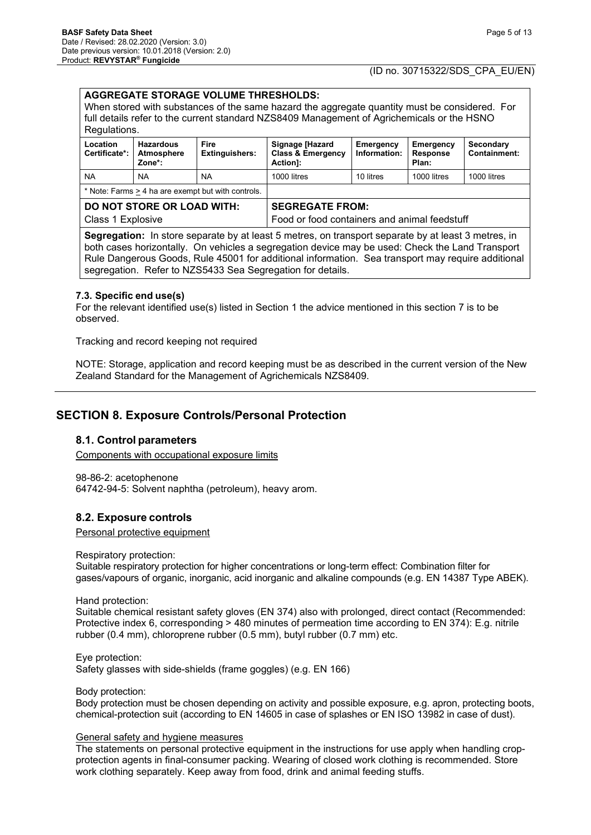# **AGGREGATE STORAGE VOLUME THRESHOLDS:**  When stored with substances of the same hazard the aggregate quantity must be considered. For full details refer to the current standard NZS8409 Management of Agrichemicals or the HSNO Regulations.

| Location<br>Certificate*:                              | <b>Hazardous</b><br>Atmosphere<br>Zone*: | Fire<br><b>Extinguishers:</b>                                          | Signage [Hazard<br><b>Class &amp; Emergency</b><br>Action]: | Emergency<br>Information: | Emergency<br><b>Response</b><br>Plan: | Secondary<br><b>Containment:</b> |
|--------------------------------------------------------|------------------------------------------|------------------------------------------------------------------------|-------------------------------------------------------------|---------------------------|---------------------------------------|----------------------------------|
| <b>NA</b>                                              | <b>NA</b>                                | <b>NA</b>                                                              | 1000 litres                                                 | 10 litres                 | 1000 litres                           | 1000 litres                      |
| * Note: Farms > 4 ha are exempt but with controls.     |                                          |                                                                        |                                                             |                           |                                       |                                  |
| <b>DO NOT STORE OR LOAD WITH:</b><br>Class 1 Explosive |                                          | <b>SEGREGATE FROM:</b><br>Food or food containers and animal feedstuff |                                                             |                           |                                       |                                  |
|                                                        |                                          | .                                                                      |                                                             |                           |                                       |                                  |

**Segregation:** In store separate by at least 5 metres, on transport separate by at least 3 metres, in both cases horizontally. On vehicles a segregation device may be used: Check the Land Transport Rule Dangerous Goods, Rule 45001 for additional information. Sea transport may require additional segregation. Refer to NZS5433 Sea Segregation for details.

#### **7.3. Specific end use(s)**

For the relevant identified use(s) listed in Section 1 the advice mentioned in this section 7 is to be observed.

Tracking and record keeping not required

NOTE: Storage, application and record keeping must be as described in the current version of the New Zealand Standard for the Management of Agrichemicals NZS8409.

# **SECTION 8. Exposure Controls/Personal Protection**

## **8.1. Control parameters**

Components with occupational exposure limits

98-86-2: acetophenone 64742-94-5: Solvent naphtha (petroleum), heavy arom.

## **8.2. Exposure controls**

Personal protective equipment

Respiratory protection:

Suitable respiratory protection for higher concentrations or long-term effect: Combination filter for gases/vapours of organic, inorganic, acid inorganic and alkaline compounds (e.g. EN 14387 Type ABEK).

Hand protection:

Suitable chemical resistant safety gloves (EN 374) also with prolonged, direct contact (Recommended: Protective index 6, corresponding > 480 minutes of permeation time according to EN 374): E.g. nitrile rubber (0.4 mm), chloroprene rubber (0.5 mm), butyl rubber (0.7 mm) etc.

Eye protection: Safety glasses with side-shields (frame goggles) (e.g. EN 166)

Body protection:

Body protection must be chosen depending on activity and possible exposure, e.g. apron, protecting boots, chemical-protection suit (according to EN 14605 in case of splashes or EN ISO 13982 in case of dust).

#### General safety and hygiene measures

The statements on personal protective equipment in the instructions for use apply when handling cropprotection agents in final-consumer packing. Wearing of closed work clothing is recommended. Store work clothing separately. Keep away from food, drink and animal feeding stuffs.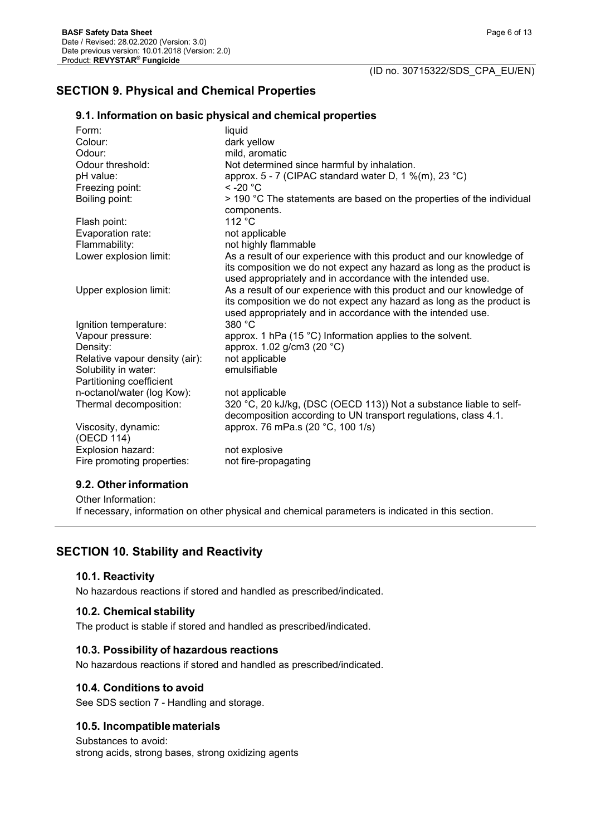# **SECTION 9. Physical and Chemical Properties**

## **9.1. Information on basic physical and chemical properties**

| Form:                             | liquid                                                                                                                                                                                                       |
|-----------------------------------|--------------------------------------------------------------------------------------------------------------------------------------------------------------------------------------------------------------|
| Colour:                           | dark yellow                                                                                                                                                                                                  |
| Odour:                            | mild, aromatic                                                                                                                                                                                               |
| Odour threshold:                  | Not determined since harmful by inhalation.                                                                                                                                                                  |
| pH value:                         | approx. 5 - 7 (CIPAC standard water D, 1 %(m), 23 °C)                                                                                                                                                        |
| Freezing point:                   | $<$ -20 $^{\circ}$ C                                                                                                                                                                                         |
| Boiling point:                    | > 190 °C The statements are based on the properties of the individual<br>components.                                                                                                                         |
| Flash point:                      | 112 °C                                                                                                                                                                                                       |
| Evaporation rate:                 | not applicable                                                                                                                                                                                               |
| Flammability:                     | not highly flammable                                                                                                                                                                                         |
| Lower explosion limit:            | As a result of our experience with this product and our knowledge of<br>its composition we do not expect any hazard as long as the product is<br>used appropriately and in accordance with the intended use. |
| Upper explosion limit:            | As a result of our experience with this product and our knowledge of<br>its composition we do not expect any hazard as long as the product is<br>used appropriately and in accordance with the intended use. |
| Ignition temperature:             | 380 °C                                                                                                                                                                                                       |
| Vapour pressure:                  | approx. 1 hPa (15 °C) Information applies to the solvent.                                                                                                                                                    |
| Density:                          | approx. 1.02 g/cm3 (20 °C)                                                                                                                                                                                   |
| Relative vapour density (air):    | not applicable                                                                                                                                                                                               |
| Solubility in water:              | emulsifiable                                                                                                                                                                                                 |
| Partitioning coefficient          |                                                                                                                                                                                                              |
| n-octanol/water (log Kow):        | not applicable                                                                                                                                                                                               |
| Thermal decomposition:            | 320 °C, 20 kJ/kg, (DSC (OECD 113)) Not a substance liable to self-                                                                                                                                           |
|                                   | decomposition according to UN transport regulations, class 4.1.                                                                                                                                              |
| Viscosity, dynamic:<br>(OECD 114) | approx. 76 mPa.s (20 °C, 100 1/s)                                                                                                                                                                            |
| Explosion hazard:                 | not explosive                                                                                                                                                                                                |
| Fire promoting properties:        | not fire-propagating                                                                                                                                                                                         |
|                                   |                                                                                                                                                                                                              |

#### **9.2. Otherinformation**

Other Information: If necessary, information on other physical and chemical parameters is indicated in this section.

# **SECTION 10. Stability and Reactivity**

#### **10.1. Reactivity**

No hazardous reactions if stored and handled as prescribed/indicated.

## **10.2. Chemical stability**

The product is stable if stored and handled as prescribed/indicated.

## **10.3. Possibility of hazardous reactions**

No hazardous reactions if stored and handled as prescribed/indicated.

## **10.4. Conditions to avoid**

See SDS section 7 - Handling and storage.

## **10.5. Incompatible materials**

Substances to avoid: strong acids, strong bases, strong oxidizing agents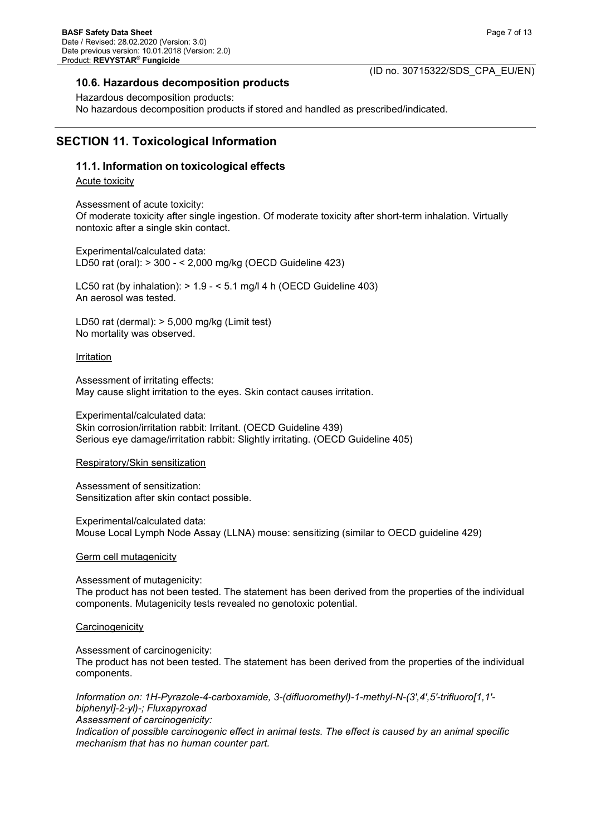#### **10.6. Hazardous decomposition products**

## (ID no. 30715322/SDS\_CPA\_EU/EN)

Hazardous decomposition products: No hazardous decomposition products if stored and handled as prescribed/indicated.

# **SECTION 11. Toxicological Information**

## **11.1. Information on toxicological effects**

Acute toxicity

Assessment of acute toxicity: Of moderate toxicity after single ingestion. Of moderate toxicity after short-term inhalation. Virtually nontoxic after a single skin contact.

Experimental/calculated data: LD50 rat (oral): > 300 - < 2,000 mg/kg (OECD Guideline 423)

LC50 rat (by inhalation):  $> 1.9 - 5.1$  mg/l 4 h (OECD Guideline 403) An aerosol was tested.

LD50 rat (dermal): > 5,000 mg/kg (Limit test) No mortality was observed.

**Irritation** 

Assessment of irritating effects: May cause slight irritation to the eyes. Skin contact causes irritation.

Experimental/calculated data: Skin corrosion/irritation rabbit: Irritant. (OECD Guideline 439) Serious eye damage/irritation rabbit: Slightly irritating. (OECD Guideline 405)

Respiratory/Skin sensitization

Assessment of sensitization: Sensitization after skin contact possible.

Experimental/calculated data: Mouse Local Lymph Node Assay (LLNA) mouse: sensitizing (similar to OECD guideline 429)

Germ cell mutagenicity

Assessment of mutagenicity: The product has not been tested. The statement has been derived from the properties of the individual components. Mutagenicity tests revealed no genotoxic potential.

**Carcinogenicity** 

Assessment of carcinogenicity: The product has not been tested. The statement has been derived from the properties of the individual components.

*Information on: 1H-Pyrazole-4-carboxamide, 3-(difluoromethyl)-1-methyl-N-(3',4',5'-trifluoro[1,1' biphenyl]-2-yl)-; Fluxapyroxad*

*Assessment of carcinogenicity:*

*Indication of possible carcinogenic effect in animal tests. The effect is caused by an animal specific mechanism that has no human counter part.*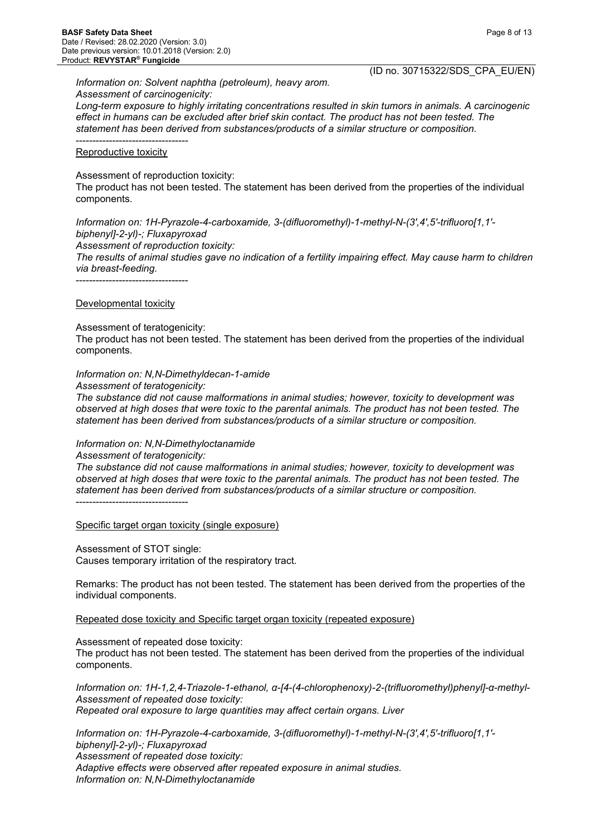Page 8 of 13

*Information on: Solvent naphtha (petroleum), heavy arom. Assessment of carcinogenicity:*

*Long-term exposure to highly irritating concentrations resulted in skin tumors in animals. A carcinogenic effect in humans can be excluded after brief skin contact. The product has not been tested. The statement has been derived from substances/products of a similar structure or composition.*

#### ---------------------------------- Reproductive toxicity

Assessment of reproduction toxicity:

The product has not been tested. The statement has been derived from the properties of the individual components.

*Information on: 1H-Pyrazole-4-carboxamide, 3-(difluoromethyl)-1-methyl-N-(3',4',5'-trifluoro[1,1' biphenyl]-2-yl)-; Fluxapyroxad*

*Assessment of reproduction toxicity:*

*The results of animal studies gave no indication of a fertility impairing effect. May cause harm to children via breast-feeding.*

----------------------------------

#### Developmental toxicity

Assessment of teratogenicity:

The product has not been tested. The statement has been derived from the properties of the individual components.

#### *Information on: N,N-Dimethyldecan-1-amide*

*Assessment of teratogenicity:*

*The substance did not cause malformations in animal studies; however, toxicity to development was observed at high doses that were toxic to the parental animals. The product has not been tested. The statement has been derived from substances/products of a similar structure or composition.*

#### *Information on: N,N-Dimethyloctanamide*

#### *Assessment of teratogenicity:*

*The substance did not cause malformations in animal studies; however, toxicity to development was observed at high doses that were toxic to the parental animals. The product has not been tested. The statement has been derived from substances/products of a similar structure or composition.* ----------------------------------

Specific target organ toxicity (single exposure)

Assessment of STOT single: Causes temporary irritation of the respiratory tract.

Remarks: The product has not been tested. The statement has been derived from the properties of the individual components.

Repeated dose toxicity and Specific target organ toxicity (repeated exposure)

Assessment of repeated dose toxicity:

The product has not been tested. The statement has been derived from the properties of the individual components.

*Information on: 1H-1,2,4-Triazole-1-ethanol, α-[4-(4-chlorophenoxy)-2-(trifluoromethyl)phenyl]-α-methyl-Assessment of repeated dose toxicity: Repeated oral exposure to large quantities may affect certain organs. Liver*

*Information on: 1H-Pyrazole-4-carboxamide, 3-(difluoromethyl)-1-methyl-N-(3',4',5'-trifluoro[1,1' biphenyl]-2-yl)-; Fluxapyroxad Assessment of repeated dose toxicity: Adaptive effects were observed after repeated exposure in animal studies. Information on: N,N-Dimethyloctanamide*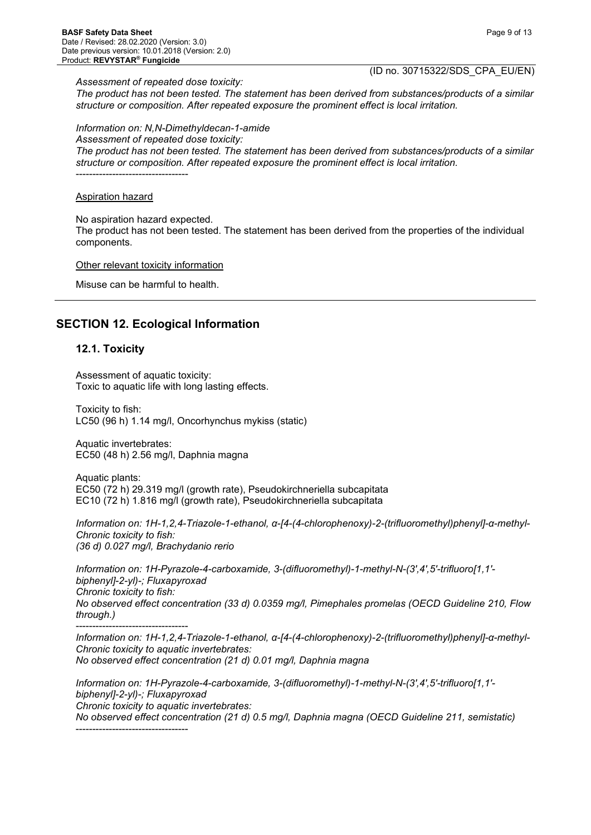*Assessment of repeated dose toxicity:*

(ID no. 30715322/SDS\_CPA\_EU/EN)

*The product has not been tested. The statement has been derived from substances/products of a similar structure or composition. After repeated exposure the prominent effect is local irritation.*

*Information on: N,N-Dimethyldecan-1-amide*

*Assessment of repeated dose toxicity:*

*The product has not been tested. The statement has been derived from substances/products of a similar structure or composition. After repeated exposure the prominent effect is local irritation.* ----------------------------------

#### Aspiration hazard

No aspiration hazard expected.

The product has not been tested. The statement has been derived from the properties of the individual components.

Other relevant toxicity information

Misuse can be harmful to health.

# **SECTION 12. Ecological Information**

#### **12.1. Toxicity**

Assessment of aquatic toxicity: Toxic to aquatic life with long lasting effects.

Toxicity to fish: LC50 (96 h) 1.14 mg/l, Oncorhynchus mykiss (static)

Aquatic invertebrates: EC50 (48 h) 2.56 mg/l, Daphnia magna

Aquatic plants: EC50 (72 h) 29.319 mg/l (growth rate), Pseudokirchneriella subcapitata EC10 (72 h) 1.816 mg/l (growth rate), Pseudokirchneriella subcapitata

*Information on: 1H-1,2,4-Triazole-1-ethanol, α-[4-(4-chlorophenoxy)-2-(trifluoromethyl)phenyl]-α-methyl-Chronic toxicity to fish: (36 d) 0.027 mg/l, Brachydanio rerio*

*Information on: 1H-Pyrazole-4-carboxamide, 3-(difluoromethyl)-1-methyl-N-(3',4',5'-trifluoro[1,1' biphenyl]-2-yl)-; Fluxapyroxad Chronic toxicity to fish: No observed effect concentration (33 d) 0.0359 mg/l, Pimephales promelas (OECD Guideline 210, Flow through.)*

----------------------------------

----------------------------------

*Information on: 1H-1,2,4-Triazole-1-ethanol, α-[4-(4-chlorophenoxy)-2-(trifluoromethyl)phenyl]-α-methyl-Chronic toxicity to aquatic invertebrates: No observed effect concentration (21 d) 0.01 mg/l, Daphnia magna*

*Information on: 1H-Pyrazole-4-carboxamide, 3-(difluoromethyl)-1-methyl-N-(3',4',5'-trifluoro[1,1' biphenyl]-2-yl)-; Fluxapyroxad Chronic toxicity to aquatic invertebrates:*

*No observed effect concentration (21 d) 0.5 mg/l, Daphnia magna (OECD Guideline 211, semistatic)*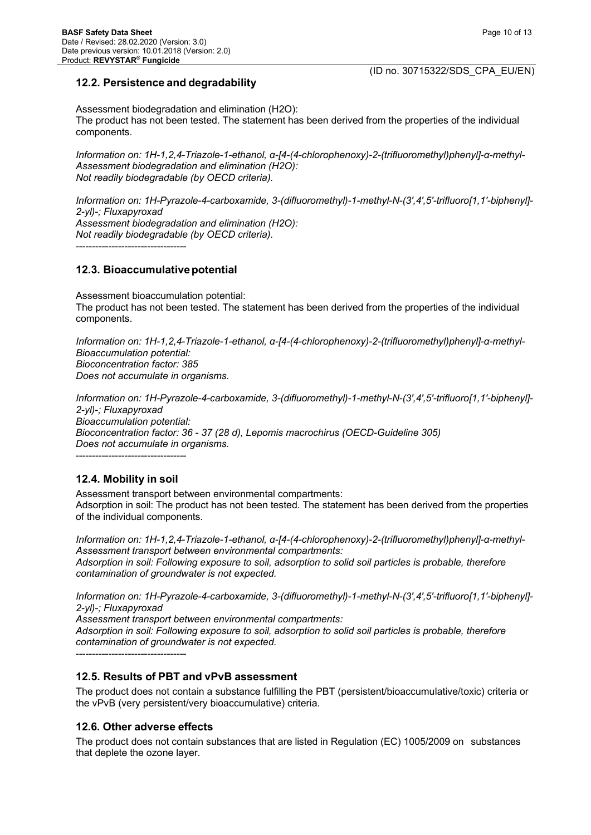## **12.2. Persistence and degradability**

Assessment biodegradation and elimination (H2O): The product has not been tested. The statement has been derived from the properties of the individual components.

*Information on: 1H-1,2,4-Triazole-1-ethanol, α-[4-(4-chlorophenoxy)-2-(trifluoromethyl)phenyl]-α-methyl-Assessment biodegradation and elimination (H2O): Not readily biodegradable (by OECD criteria).*

*Information on: 1H-Pyrazole-4-carboxamide, 3-(difluoromethyl)-1-methyl-N-(3',4',5'-trifluoro[1,1'-biphenyl]- 2-yl)-; Fluxapyroxad Assessment biodegradation and elimination (H2O): Not readily biodegradable (by OECD criteria).* ----------------------------------

## **12.3. Bioaccumulativepotential**

Assessment bioaccumulation potential: The product has not been tested. The statement has been derived from the properties of the individual components.

*Information on: 1H-1,2,4-Triazole-1-ethanol, α-[4-(4-chlorophenoxy)-2-(trifluoromethyl)phenyl]-α-methyl-Bioaccumulation potential: Bioconcentration factor: 385 Does not accumulate in organisms.*

*Information on: 1H-Pyrazole-4-carboxamide, 3-(difluoromethyl)-1-methyl-N-(3',4',5'-trifluoro[1,1'-biphenyl]- 2-yl)-; Fluxapyroxad Bioaccumulation potential: Bioconcentration factor: 36 - 37 (28 d), Lepomis macrochirus (OECD-Guideline 305) Does not accumulate in organisms.* ----------------------------------

# **12.4. Mobility in soil**

Assessment transport between environmental compartments: Adsorption in soil: The product has not been tested. The statement has been derived from the properties of the individual components.

*Information on: 1H-1,2,4-Triazole-1-ethanol, α-[4-(4-chlorophenoxy)-2-(trifluoromethyl)phenyl]-α-methyl-Assessment transport between environmental compartments: Adsorption in soil: Following exposure to soil, adsorption to solid soil particles is probable, therefore contamination of groundwater is not expected.*

*Information on: 1H-Pyrazole-4-carboxamide, 3-(difluoromethyl)-1-methyl-N-(3',4',5'-trifluoro[1,1'-biphenyl]- 2-yl)-; Fluxapyroxad*

*Assessment transport between environmental compartments: Adsorption in soil: Following exposure to soil, adsorption to solid soil particles is probable, therefore contamination of groundwater is not expected.*

----------------------------------

## **12.5. Results of PBT and vPvB assessment**

The product does not contain a substance fulfilling the PBT (persistent/bioaccumulative/toxic) criteria or the vPvB (very persistent/very bioaccumulative) criteria.

## **12.6. Other adverse effects**

The product does not contain substances that are listed in Regulation (EC) 1005/2009 on substances that deplete the ozone layer.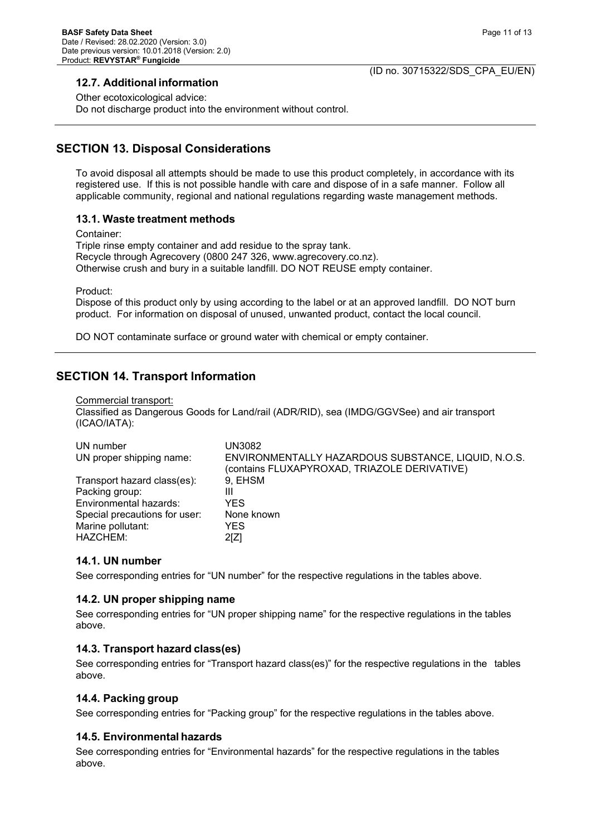## **12.7. Additional information**

Other ecotoxicological advice: Do not discharge product into the environment without control.

# **SECTION 13. Disposal Considerations**

To avoid disposal all attempts should be made to use this product completely, in accordance with its registered use. If this is not possible handle with care and dispose of in a safe manner. Follow all applicable community, regional and national regulations regarding waste management methods.

## **13.1. Waste treatment methods**

Container: Triple rinse empty container and add residue to the spray tank. Recycle through Agrecovery (0800 247 326, www.agrecovery.co.nz). Otherwise crush and bury in a suitable landfill. DO NOT REUSE empty container.

Product:

Dispose of this product only by using according to the label or at an approved landfill. DO NOT burn product. For information on disposal of unused, unwanted product, contact the local council.

DO NOT contaminate surface or ground water with chemical or empty container.

# **SECTION 14. Transport Information**

#### Commercial transport:

Classified as Dangerous Goods for Land/rail (ADR/RID), sea (IMDG/GGVSee) and air transport (ICAO/IATA):

| UN number<br>UN proper shipping name: | UN3082<br>ENVIRONMENTALLY HAZARDOUS SUBSTANCE, LIQUID, N.O.S.<br>(contains FLUXAPYROXAD, TRIAZOLE DERIVATIVE) |
|---------------------------------------|---------------------------------------------------------------------------------------------------------------|
| Transport hazard class(es):           | 9, EHSM                                                                                                       |
| Packing group:                        | Ш                                                                                                             |
| Environmental hazards:                | YES                                                                                                           |
| Special precautions for user:         | None known                                                                                                    |
| Marine pollutant:                     | <b>YES</b>                                                                                                    |
| HAZCHEM:                              | 2[Z]                                                                                                          |

## **14.1. UN number**

See corresponding entries for "UN number" for the respective regulations in the tables above.

## **14.2. UN proper shipping name**

See corresponding entries for "UN proper shipping name" for the respective regulations in the tables above.

## **14.3. Transport hazard class(es)**

See corresponding entries for "Transport hazard class(es)" for the respective regulations in the tables above.

#### **14.4. Packing group**

See corresponding entries for "Packing group" for the respective regulations in the tables above.

## **14.5. Environmental hazards**

See corresponding entries for "Environmental hazards" for the respective regulations in the tables above.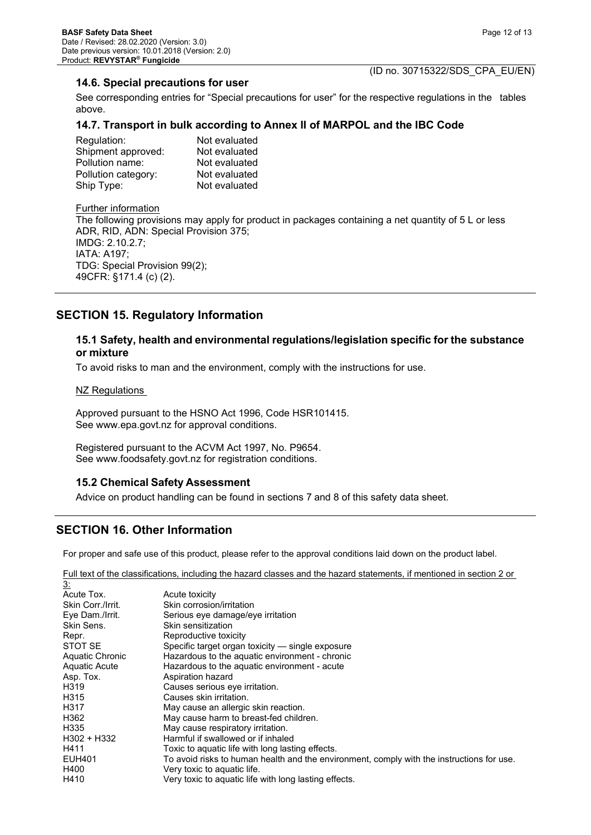#### **14.6. Special precautions for user**

See corresponding entries for "Special precautions for user" for the respective regulations in the tables above.

#### **14.7. Transport in bulk according to Annex II of MARPOL and the IBC Code**

| Not evaluated |
|---------------|
| Not evaluated |
| Not evaluated |
| Not evaluated |
| Not evaluated |
|               |

#### Further information

The following provisions may apply for product in packages containing a net quantity of 5 L or less ADR, RID, ADN: Special Provision 375; IMDG: 2.10.2.7; IATA: A197; TDG: Special Provision 99(2); 49CFR: §171.4 (c) (2).

## **SECTION 15. Regulatory Information**

#### **15.1 Safety, health and environmental regulations/legislation specific for the substance or mixture**

To avoid risks to man and the environment, comply with the instructions for use.

#### **NZ Regulations**

Approved pursuant to the HSNO Act 1996, Code HSR101415. See www.epa.govt.nz for approval conditions.

Registered pursuant to the ACVM Act 1997, No. P9654. See www.foodsafety.govt.nz for registration conditions.

#### **15.2 Chemical Safety Assessment**

Advice on product handling can be found in sections 7 and 8 of this safety data sheet.

## **SECTION 16. Other Information**

For proper and safe use of this product, please refer to the approval conditions laid down on the product label.

Full text of the classifications, including the hazard classes and the hazard statements, if mentioned in section 2 or

| <u>3:</u>         |                                                                                           |
|-------------------|-------------------------------------------------------------------------------------------|
| Acute Tox.        | Acute toxicity                                                                            |
| Skin Corr./Irrit. | Skin corrosion/irritation                                                                 |
| Eye Dam./Irrit.   | Serious eye damage/eye irritation                                                         |
| Skin Sens.        | Skin sensitization                                                                        |
| Repr.             | Reproductive toxicity                                                                     |
| STOT SE           | Specific target organ toxicity — single exposure                                          |
| Aquatic Chronic   | Hazardous to the aquatic environment - chronic                                            |
| Aquatic Acute     | Hazardous to the aquatic environment - acute                                              |
| Asp. Tox.         | Aspiration hazard                                                                         |
| H <sub>3</sub> 19 | Causes serious eye irritation.                                                            |
| H <sub>3</sub> 15 | Causes skin irritation.                                                                   |
| H317              | May cause an allergic skin reaction.                                                      |
| H362              | May cause harm to breast-fed children.                                                    |
| H335              | May cause respiratory irritation.                                                         |
| H302 + H332       | Harmful if swallowed or if inhaled                                                        |
| H411              | Toxic to aquatic life with long lasting effects.                                          |
| <b>EUH401</b>     | To avoid risks to human health and the environment, comply with the instructions for use. |
| H400              | Very toxic to aquatic life.                                                               |
| H410              | Very toxic to aquatic life with long lasting effects.                                     |
|                   |                                                                                           |